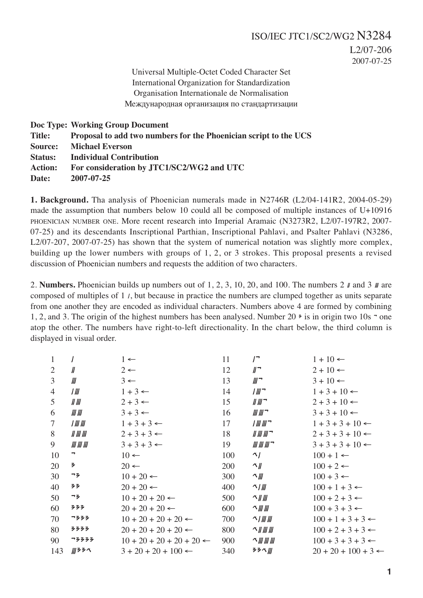Universal Multiple-Octet Coded Character Set International Organization for Standardization Organisation Internationale de Normalisation Международная организация по стандартизации

```
Doc Type: Working Group Document
Title: Proposal to add two numbers for the Phoenician script to the UCS
Source: Michael Everson
Status: Individual Contribution
Action: For consideration by JTC1/SC2/WG2 and UTC
Date: 2007-07-25
```
**1. Background.** Tha analysis of Phoenician numerals made in N2746R (L2/04-141R2, 2004-05-29) made the assumption that numbers below 10 could all be composed of multiple instances of U+10916 PHOENICIAN NUMBER ONE. More recent research into Imperial Aramaic (N3273R2, L2/07-197R2, 2007- 07-25) and its descendants Inscriptional Parthian, Inscriptional Pahlavi, and Psalter Pahlavi (N3286, L2/07-207, 2007-07-25) has shown that the system of numerical notation was slightly more complex, building up the lower numbers with groups of 1, 2, or 3 strokes. This proposal presents a revised discussion of Phoenician numbers and requests the addition of two characters.

2. **Numbers.** Phoenician builds up numbers out of 1, 2, 3, 10, 20, and 100. The numbers 2  $\mu$  and 3  $\mu$  are composed of multiples of 1 ∆, but because in practice the numbers are clumped together as units separate from one another they are encoded as individual characters. Numbers above 4 are formed by combining 1, 2, and 3. The origin of the highest numbers has been analysed. Number 20  $\overline{z}$  is in origin two 10s  $\overline{z}$  one atop the other. The numbers have right-to-left directionality. In the chart below, the third column is displayed in visual order.

| $\mathbf{1}$   |                    | $1 \leftarrow$                   | 11  | $\mathsf{I}^{\neg}$                                              | $1+10 \leftarrow$            |
|----------------|--------------------|----------------------------------|-----|------------------------------------------------------------------|------------------------------|
| $\overline{2}$ | $\mathbf{y}$       | $2 \leftarrow$                   | 12  | $\mathbb{I}$                                                     | $2 + 10 \leftarrow$          |
| 3              | Ш                  | $3 \leftarrow$                   | 13  | $\mathbb{H}^{\neg}$                                              | $3 + 10 \leftarrow$          |
| 4              | / ∭                | $1+3 \leftarrow$                 | 14  | $\mathcal{W}$                                                    | $1 + 3 + 10 \leftarrow$      |
| 5              |                    | $2+3 \leftarrow$                 | 15  | $\frac{1}{2}$                                                    | $2+3+10 \leftarrow$          |
| 6              | <b>III III</b>     | $3 + 3 \leftarrow$               | 16  | $\mathbb{I}$ $\mathbb{I}$ $\mathbb{I}$ $\mathbb{I}$ $\mathbb{I}$ | $3 + 3 + 10 \leftarrow$      |
| $\tau$         | <i>I III III</i>   | $1+3+3 \leftarrow$               | 17  | /////// -                                                        | $1 + 3 + 3 + 10 \leftarrow$  |
| 8              | <i>II III III</i>  | $2+3+3 \leftarrow$               | 18  | $\frac{1}{2}$ $\frac{1}{2}$ $\frac{1}{2}$                        | $2 + 3 + 3 + 10 \leftarrow$  |
| 9              | <b>III III III</b> | $3+3+3 \leftarrow$               | 19  | <i>III III III</i> ~                                             | $3 + 3 + 3 + 10 \leftarrow$  |
| 10             | ¬                  | $10 \leftarrow$                  | 100 | $\gamma$                                                         | $100 + 1$                    |
| 20             | そうしょう シャンプ         | $20 \leftarrow$                  | 200 | ี่ ^ ∥                                                           | $100 + 2 \leftarrow$         |
| 30             | っそ                 | $10 + 20$ $\leftarrow$           | 300 | $\sim$ ///                                                       | $100 + 3 \leftarrow$         |
| 40             | ララ                 | $20 + 20$ $\leftarrow$           | 400 | $\sim$ / ///                                                     | $100 + 1 + 3$                |
| 50             | コラ                 | $10 + 20 + 20$ $\leftarrow$      | 500 | へ // ///                                                         | $100 + 2 + 3 \leftarrow$     |
| 60             | そそそ                | $20 + 20 + 20$                   | 600 | $\sim$ /// ///                                                   | $100 + 3 + 3 \leftarrow$     |
| 70             | つラララ               | $10 + 20 + 20 + 20$              | 700 | へ/ /// ///                                                       | $100 + 1 + 3 + 3 \leftarrow$ |
| 80             | そそそそ               | $20 + 20 + 20 + 20$              | 800 | $\sim$ // /// ///                                                | $100 + 2 + 3 + 3 \leftarrow$ |
| 90             | つそそそそ              | $10 + 20 + 20 + 20 + 20$         | 900 | $\sim$ /// /// ///                                               | $100 + 3 + 3 + 3 \leftarrow$ |
| 143            | 川ララベ               | $3 + 20 + 20 + 100$ $\leftarrow$ | 340 | そそへ ///                                                          | $20 + 20 + 100 + 3$          |
|                |                    |                                  |     |                                                                  |                              |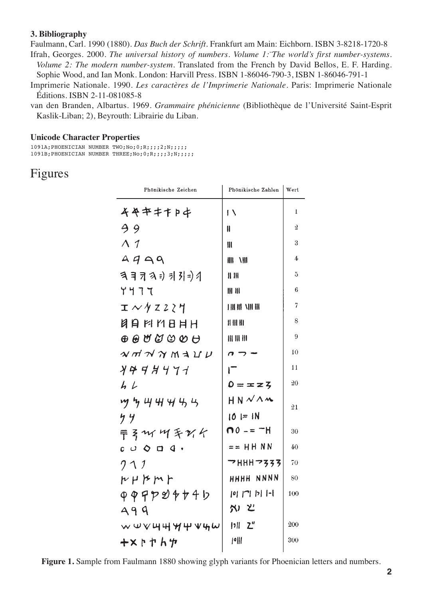## **3. Bibliography**

Faulmann, Carl. 1990 (1880). *Das Buch der Schrift.* Frankfurt am Main: Eichborn. ISBN 3-8218-1720-8 Ifrah, Georges. 2000. *The universal history of numbers. Volume 1:¨The world's first number-systems.*

*Volume 2: The modern number-system.* Translated from the French by David Bellos, E. F. Harding. Sophie Wood, and Ian Monk. London: Harvill Press. ISBN 1-86046-790-3, ISBN 1-86046-791-1

Imprimerie Nationale. 1990. *Les caractères de l'Imprimerie Nationale*. Paris: Imprimerie Nationale Éditions. ISBN 2-11-081085-8

van den Branden, Albartus. 1969. *Grammaire phénicienne* (Bibliothèque de l'Université Saint-Esprit Kaslik-Liban; 2), Beyrouth: Librairie du Liban.

### **Unicode Character Properties**

 $1091A;$ PHOENICIAN NUMBER TWO;No;0;R;;;;2;N;;;;; 1091B; PHOENICIAN NUMBER THREE; No; 0; R;;;;;3;N;;;;;

# Figures

| Phönikische Zeichen                                                                  | Phönikische Zahlen                                    | Wert |
|--------------------------------------------------------------------------------------|-------------------------------------------------------|------|
| <b>そやキキキトキ</b>                                                                       | $\mathsf{I}\setminus$                                 | 1    |
| 99                                                                                   | H                                                     | 2    |
| $\Lambda$ 1                                                                          | $\mathbf{1}$                                          | 3    |
| $A$ $A$ $A$ $A$                                                                      | <b>IIII \III</b>                                      | 4    |
| ㅋヨㅋㅋョㅋ引=)イ                                                                           | $  $ $  $                                             | 5    |
| <b>Y 4 7 7</b>                                                                       | $III$ $III$                                           | 6    |
| $\texttt{I} \sim \texttt{\textbackslash} \texttt{7}$ z z z $\texttt{\textbackslash}$ | FIN HE NIH IH                                         | 7    |
| <b>AAMMBHH</b>                                                                       | $H$ $H$ $H$                                           | 8    |
| $\circledast\circledast\circledast\circledast\circledast$                            | <b>HI III III</b>                                     | 9    |
| $\gamma$ $\pi$ $\gamma$ $\gamma$ $\kappa$ $\rightarrow$ $\mu$                        | σ つ                                                   | 10   |
| 4444471                                                                              |                                                       | 11   |
| 4L                                                                                   | $0 = \pm z \overline{z}$                              | 20   |
| m 4 4 4 4 4 5                                                                        | $H N$ $\mathcal{N}$ $\Lambda$ $\mathcal{M}$           | 21   |
| 44                                                                                   | $ 0  =  N $                                           |      |
| 〒るひ ツキンイ                                                                             | $\bigcap_{n=0}^{\infty}$ - = $\bigcap_{n=0}^{\infty}$ | 30   |
| $C \cup \Diamond \Box$ 4 .                                                           | $==$ HH NN                                            | 40   |
| クイノ                                                                                  | <b>フHHH つろろろ</b>                                      | 70   |
| $P$ $H$ $P$ $M$ $P$                                                                  | HHHH NNNN                                             | 80   |
| Q Q Q P Q & + + + b                                                                  | 101 门 川 日                                             | 100  |
| A99                                                                                  | べい ど                                                  |      |
| wwv4444444w                                                                          | $ 1 $ $2$ "                                           | 200  |
| <b>ナ×トヤトケ</b>                                                                        | °                                                     | 300  |

Figure 1. Sample from Faulmann 1880 showing glyph variants for Phoenician letters and numbers.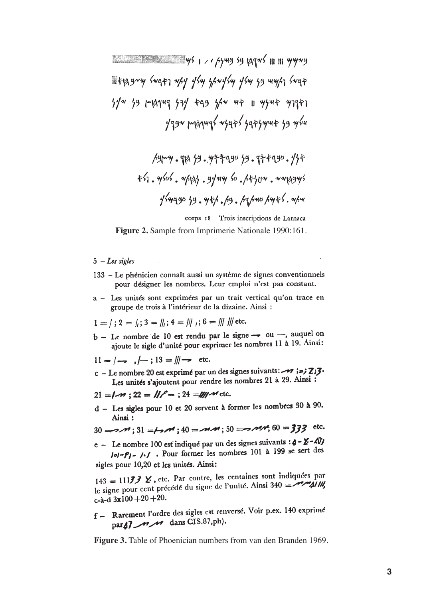**EXAMPLE THE REAL PROPERTY AND SUMMER SUMMER SUMMER SUMMER SUMMER SUMMER SUMMER SUMMER SUMMER SUMMER** Etagwy swati why ysy yhwysy ysy yg myhi swat  $11''$  19 MATHY 17 +49 1/2 H+ 11 4/4+ 479+7 ygga migyngs azats zatzynt za yśn

corps 18 Trois inscriptions de Larnaca **Figure 2.** Sample from Imprimerie Nationale 1990:161.

#### $5 - Les$  sigles

- 133 Le phénicien connaît aussi un système de signes conventionnels pour désigner les nombres. Leur emploi n'est pas constant.
- a Les unités sont exprimées par un trait vertical qu'on trace en groupe de trois à l'intérieur de la dizaine. Ainsi :

$$
1 = /
$$
;  $2 = //$ ;  $3 = ///$ ;  $4 = ///$ ;  $6 = ///$  // etc

- $b -$  Le nombre de 10 est rendu par le signe  $\rightarrow$  ou  $\rightarrow$ , auquel on ajoute le sigle d'unité pour exprimer les nombres 11 à 19. Ainsi:
- $11 = \frac{1}{3}$ ,  $\frac{1}{3} = \frac{1}{3}$  etc.
- c Le nombre 20 est exprimé par un des signes suivants:  $\rightarrow$  ; = ;  $\overline{z}$ ;  $\overline{z}$ ; Les unités s'ajoutent pour rendre les nombres 21 à 29. Ainsi :
- $21 = 7m$ ;  $22 = 17 = 124$  = 11/2 detc.
- d Les sigles pour 10 et 20 servent à former les nombres 30 à 90. Ainsi:

 $30 = 30$ ;  $31 = 50$  ;  $40 = 30$  ;  $50 = 300$ ;  $60 = 333$  etc.

e - Le nombre 100 est indiqué par un des signes suivants :  $4 - \frac{\cancel{2}}{4} - \frac{\cancel{1}}{4}$  $101 - P1 - 1.1$ . Pour former les nombres 101 à 199 se sert des sigles pour 10,20 et les unités. Ainsi:

143 = 11177  $\chi$ , etc. Par contre, les centaines sont indiquées par le signe pour cent précédé du signe de l'unité. Ainsi 340 = 27 Al III,  $c-a$ -d 3x100 +20 +20.

 $f -$  Rarement l'ordre des sigles est renversé. Voir p.ex. 140 exprimé par 47  $\overline{M}$  dans CIS.87,ph).

**Figure 3.** Table of Phoenician numbers from van den Branden 1969.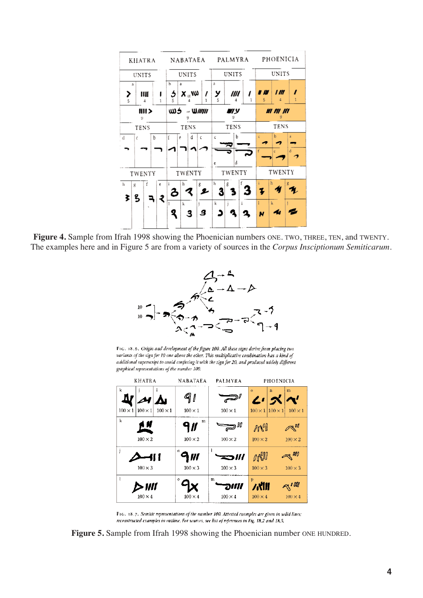| KHATRA      |             |   | NABATAEA                                  |                                             | PALMYRA      |        | PHOENICIA         |             |         |         |                      |
|-------------|-------------|---|-------------------------------------------|---------------------------------------------|--------------|--------|-------------------|-------------|---------|---------|----------------------|
| UNITS       |             |   | UNITS                                     |                                             | <b>UNITS</b> |        | UNITS             |             |         |         |                      |
| а<br>>      | Ш           | ı | b<br>5                                    | а<br>$\mathcal{X}_{\text{U}}$ $\mathcal{W}$ | 7            | a<br>У | IIII              | ı           | U 10    | l III   | 1                    |
| 5           | 4           | 1 | 5                                         |                                             | 1            | 5      | 4                 | 1           | 5       |         | 1                    |
| HH ><br>9   |             |   | ⇒دس<br><sub>™</sub> \\ <i>\\\\\\</i><br>9 |                                             | עונ<br>9     |        | <b>HI 111 111</b> |             |         |         |                      |
|             | <b>TENS</b> |   |                                           | <b>TENS</b>                                 |              | TENS   |                   | <b>TENS</b> |         |         |                      |
| ! d         | C           | b | f                                         | d<br>$\mathfrak{c}$<br>e                    |              | ¢<br>e | b<br>d            |             | c.<br>f | b<br>e. | $\overline{a}$<br>đ. |
| TWENTY      |             |   | TWENTY                                    |                                             | TWENTY       |        | TWENTY            |             |         |         |                      |
| h<br>g<br>₹ | f<br>S      | e | i<br>ъ                                    | h.<br>g                                     |              | h<br>3 | g                 |             |         | h       |                      |
|             |             |   | 9                                         | k.<br>3                                     | з            | k      | j                 |             |         | k.      |                      |

**Figure 4.** Sample from Ifrah 1998 showing the Phoenician numbers ONE. TWO, THREE, TEN, and TWENTY. The examples here and in Figure 5 are from a variety of sources in the *Corpus Insciptionum Semiticarum*.



FIG. 18.6. Origin and development of the figure 100. All these signs derive from placing two variants of the sign for 10 one above the other. This multiplicative combination has a kind of additional superscript to avoid confusing it with the sign for 20, and produced widely different graphical representations of the number 100.

| KHATRA                                             | NABATAEA              | PALMYRA        | PHOENICIA                                            |                                  |  |  |
|----------------------------------------------------|-----------------------|----------------|------------------------------------------------------|----------------------------------|--|--|
| k<br>ٰ لِگ                                         | 9 I                   |                | $\mathbf n$<br>$\boldsymbol{\gamma}$<br>$\mathbf{L}$ | m                                |  |  |
| $100 \times 1$<br>$100 \times 1$<br>$100 \times 1$ | $100 \times 1$        | $100 \times 1$ | $100 \times 1$<br>$100 \times 1$                     | $100 \times 1$                   |  |  |
| k<br>ŕW                                            | m<br>9∥               | IJ             | $\mathbb{N}^{\mathbb{N}}$                            | ₹"                               |  |  |
| $100 \times 2$                                     | $100 \times 2$        | $100 \times 2$ | $100 \times 2$                                       | $100 \times 2$                   |  |  |
| j<br>11 I                                          | n<br>$\boldsymbol{m}$ | 3111           | <b>ANII</b>                                          | $\approx$ 000                    |  |  |
| $100 \times 3$                                     | $100 \times 3$        | $100 \times 3$ | $100 \times 3$                                       | $100 \times 3$                   |  |  |
| ł<br><b>IIII</b>                                   |                       | m<br>n ett f   | パ川                                                   | $\mathcal{R}^{\prime\text{000}}$ |  |  |
| $100 \times 4$                                     | $100 \times 4$        | $100 \times 4$ | $100 \times 4$                                       | $100 \times 4$                   |  |  |

F1G. 18.7. Semitic representations of the number 100. Attested examples are given in solid lines; reconstructed examples in outline. For sources, see list of references in Fig. 18.2 and 18.5.

**Figure 5.** Sample from Ifrah 1998 showing the Phoenician number ONE HUNDRED.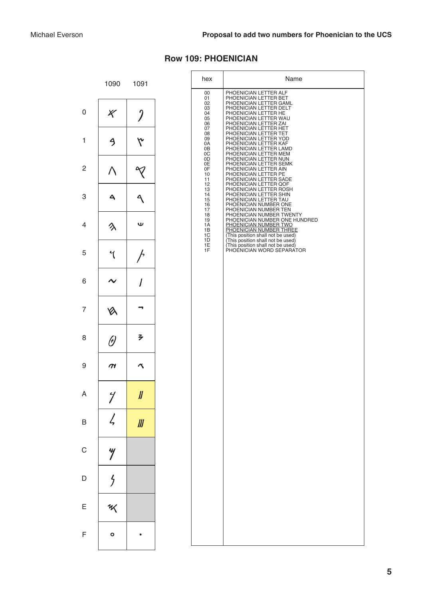## **Row 109: PHOENICIAN**

|                | 1090                     | 1091                | hex                                    | Name                                                                                                                                                                                    |
|----------------|--------------------------|---------------------|----------------------------------------|-----------------------------------------------------------------------------------------------------------------------------------------------------------------------------------------|
| 0              | X                        | 7                   | 00<br>01<br>02<br>03<br>04<br>05       | PHOENICIAN LETTER ALF<br>PHOENICIAN LETTER BET<br>PHOENICIAN LETTER GAML<br>PHOENICIAN LETTER DELT<br>PHOENICIAN LETTER HE<br>PHOENICIAN LETTER WAU                                     |
| 1              | 4                        |                     | 06<br>07<br>08<br>09<br>0A<br>0B<br>0C | PHOENICIAN LETTER ZAI<br>PHOENICIAN LETTER HET<br>PHOENICIAN LETTER TET<br>PHOENICIAN LETTER YOD<br>PHOENICIAN LETTER KAF<br>PHOENICIAN LETTER LAMD<br>PHOENICIAN LETTER MEM            |
| 2              |                          |                     | 0D<br>0E<br>0F<br>10<br>11<br>12       | PHOENICIAN LETTER NUN<br>PHOENICIAN LETTER SEMK<br>PHOENICIAN LETTER AIN<br>PHOENICIAN LETTER PE<br>PHOENICIAN LETTER SADE<br>PHOENICIAN LETTER QOF                                     |
| 3              | А                        |                     | 13<br>14<br>15<br>16<br>17             | PHOENICIAN LETTER ROSH<br>PHOENICIAN LETTER SHIN<br>PHOENICIAN LETTER TAU<br>PHOENICIAN NUMBER ONE<br>PHOENICIAN NUMBER TEN                                                             |
| 4              |                          | w                   | 18<br>19<br>1A<br>1B<br>1C<br>1D       | PHOENICIAN NUMBER TWENTY<br>PHOENICIAN NUMBER ONE HUNDRED<br>PHOENICIAN NUMBER TWO<br>PHOENICIAN NUMBER THREE<br>(This position shall not be used)<br>(This position shall not be used) |
| 5              |                          |                     | 1E<br>1F                               | (This position shall not be used)<br>PHOENICIAN WORD SEPARATOR                                                                                                                          |
| 6              |                          |                     |                                        |                                                                                                                                                                                         |
| $\overline{7}$ |                          |                     |                                        |                                                                                                                                                                                         |
| 8              | $\theta$                 | そ                   |                                        |                                                                                                                                                                                         |
| 9              | $\boldsymbol{\pi}$       | Κ                   |                                        |                                                                                                                                                                                         |
| $\mathsf A$    | $\mathcal I$             | $\pmb{\mathit{  }}$ |                                        |                                                                                                                                                                                         |
| $\sf B$        | $\zeta$                  | $J\!J\!J$           |                                        |                                                                                                                                                                                         |
| $\mathsf C$    | 4                        |                     |                                        |                                                                                                                                                                                         |
| $\mathsf D$    | $\frac{1}{2}$            |                     |                                        |                                                                                                                                                                                         |
| E              | $\boldsymbol{\varkappa}$ |                     |                                        |                                                                                                                                                                                         |
| $\mathsf F$    | $\bullet$                |                     |                                        |                                                                                                                                                                                         |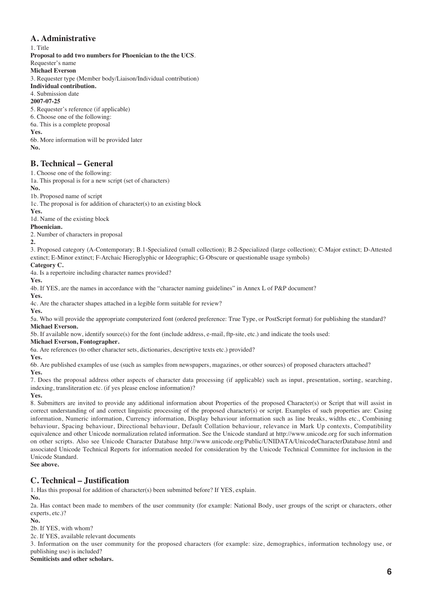## **A. Administrative**

#### 1. Title

**Proposal to add two numbers for Phoenician to the the UCS**.

- Requester's name
- **Michael Everson**

3. Requester type (Member body/Liaison/Individual contribution)

**Individual contribution.**

4. Submission date

#### **2007-07-25**

5. Requester's reference (if applicable) 6. Choose one of the following:

6a. This is a complete proposal

**Yes.**

6b. More information will be provided later **No.**

## **B. Technical – General**

1. Choose one of the following:

1a. This proposal is for a new script (set of characters)

#### **No.**

1b. Proposed name of script

1c. The proposal is for addition of character(s) to an existing block

#### **Yes.**

1d. Name of the existing block

### **Phoenician.**

2. Number of characters in proposal

#### **2.**

3. Proposed category (A-Contemporary; B.1-Specialized (small collection); B.2-Specialized (large collection); C-Major extinct; D-Attested extinct; E-Minor extinct; F-Archaic Hieroglyphic or Ideographic; G-Obscure or questionable usage symbols)

## **Category C.**

4a. Is a repertoire including character names provided?

**Yes.**

4b. If YES, are the names in accordance with the "character naming guidelines" in Annex L of P&P document?

**Yes.**

4c. Are the character shapes attached in a legible form suitable for review?

**Yes.**

5a. Who will provide the appropriate computerized font (ordered preference: True Type, or PostScript format) for publishing the standard? **Michael Everson.**

5b. If available now, identify source(s) for the font (include address, e-mail, ftp-site, etc.) and indicate the tools used:

## **Michael Everson, Fontographer.**

6a. Are references (to other character sets, dictionaries, descriptive texts etc.) provided?

**Yes.**

6b. Are published examples of use (such as samples from newspapers, magazines, or other sources) of proposed characters attached? **Yes.**

7. Does the proposal address other aspects of character data processing (if applicable) such as input, presentation, sorting, searching, indexing, transliteration etc. (if yes please enclose information)?

**Yes.**

8. Submitters are invited to provide any additional information about Properties of the proposed Character(s) or Script that will assist in correct understanding of and correct linguistic processing of the proposed character(s) or script. Examples of such properties are: Casing information, Numeric information, Currency information, Display behaviour information such as line breaks, widths etc., Combining behaviour, Spacing behaviour, Directional behaviour, Default Collation behaviour, relevance in Mark Up contexts, Compatibility equivalence and other Unicode normalization related information. See the Unicode standard at http://www.unicode.org for such information on other scripts. Also see Unicode Character Database http://www.unicode.org/Public/UNIDATA/UnicodeCharacterDatabase.html and associated Unicode Technical Reports for information needed for consideration by the Unicode Technical Committee for inclusion in the Unicode Standard.

## **See above.**

## **C. Technical – Justification**

1. Has this proposal for addition of character(s) been submitted before? If YES, explain.

## **No.**

2a. Has contact been made to members of the user community (for example: National Body, user groups of the script or characters, other experts, etc.)?

## **No.**

2b. If YES, with whom?

2c. If YES, available relevant documents

3. Information on the user community for the proposed characters (for example: size, demographics, information technology use, or publishing use) is included?

#### **Semiticists and other scholars.**